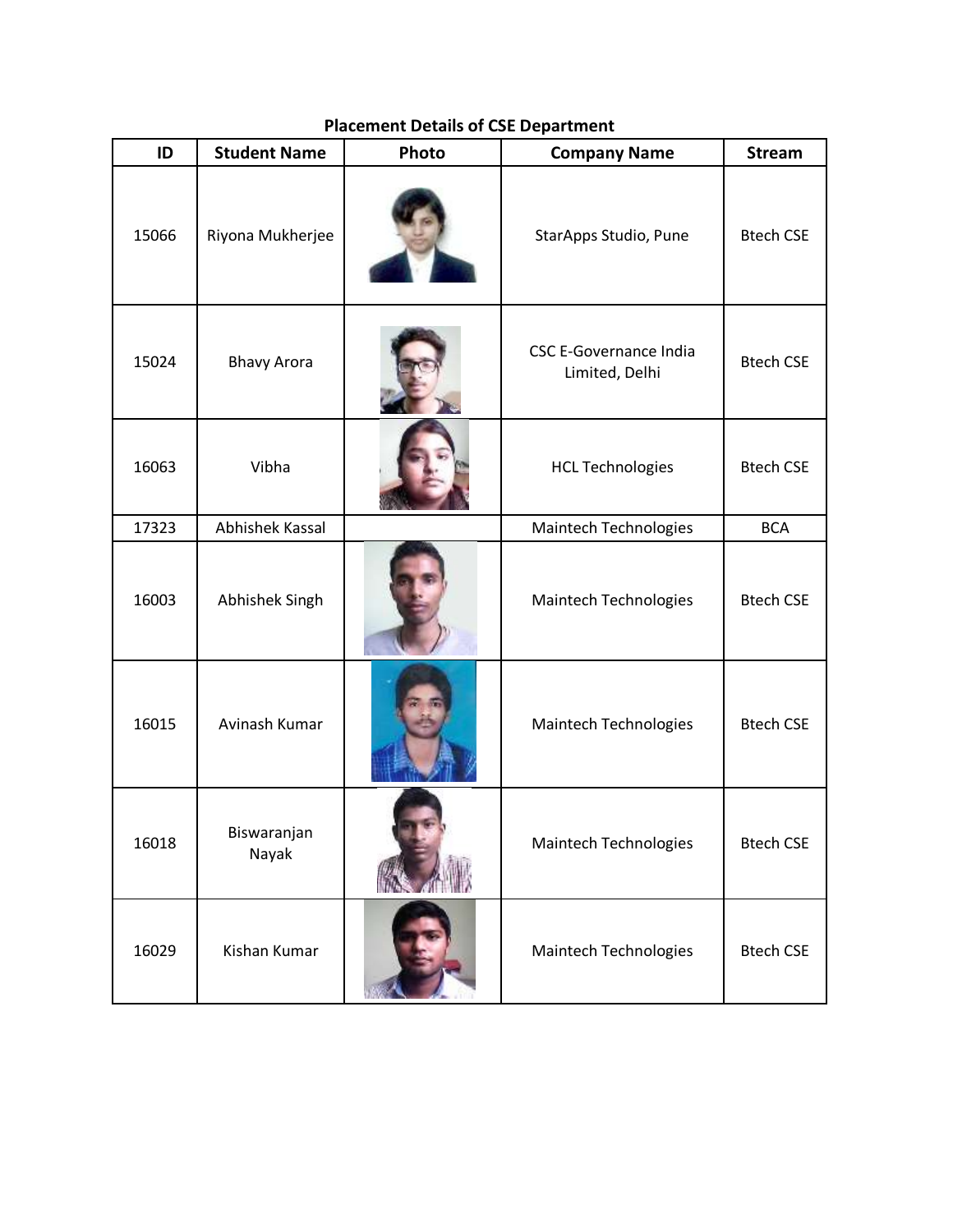| ID    | <b>Student Name</b>    | Photo | <b>Company Name</b>                             | <b>Stream</b>    |
|-------|------------------------|-------|-------------------------------------------------|------------------|
| 15066 | Riyona Mukherjee       |       | StarApps Studio, Pune                           | <b>Btech CSE</b> |
| 15024 | <b>Bhavy Arora</b>     |       | <b>CSC E-Governance India</b><br>Limited, Delhi |                  |
| 16063 | Vibha                  |       | <b>HCL Technologies</b>                         | <b>Btech CSE</b> |
| 17323 | <b>Abhishek Kassal</b> |       | Maintech Technologies                           | <b>BCA</b>       |
| 16003 | Abhishek Singh         |       | Maintech Technologies                           | <b>Btech CSE</b> |
| 16015 | Avinash Kumar          |       | Maintech Technologies                           | <b>Btech CSE</b> |
| 16018 | Biswaranjan<br>Nayak   |       | Maintech Technologies                           | <b>Btech CSE</b> |
| 16029 | Kishan Kumar           |       | <b>Maintech Technologies</b>                    | <b>Btech CSE</b> |

## **Placement Details of CSE Department**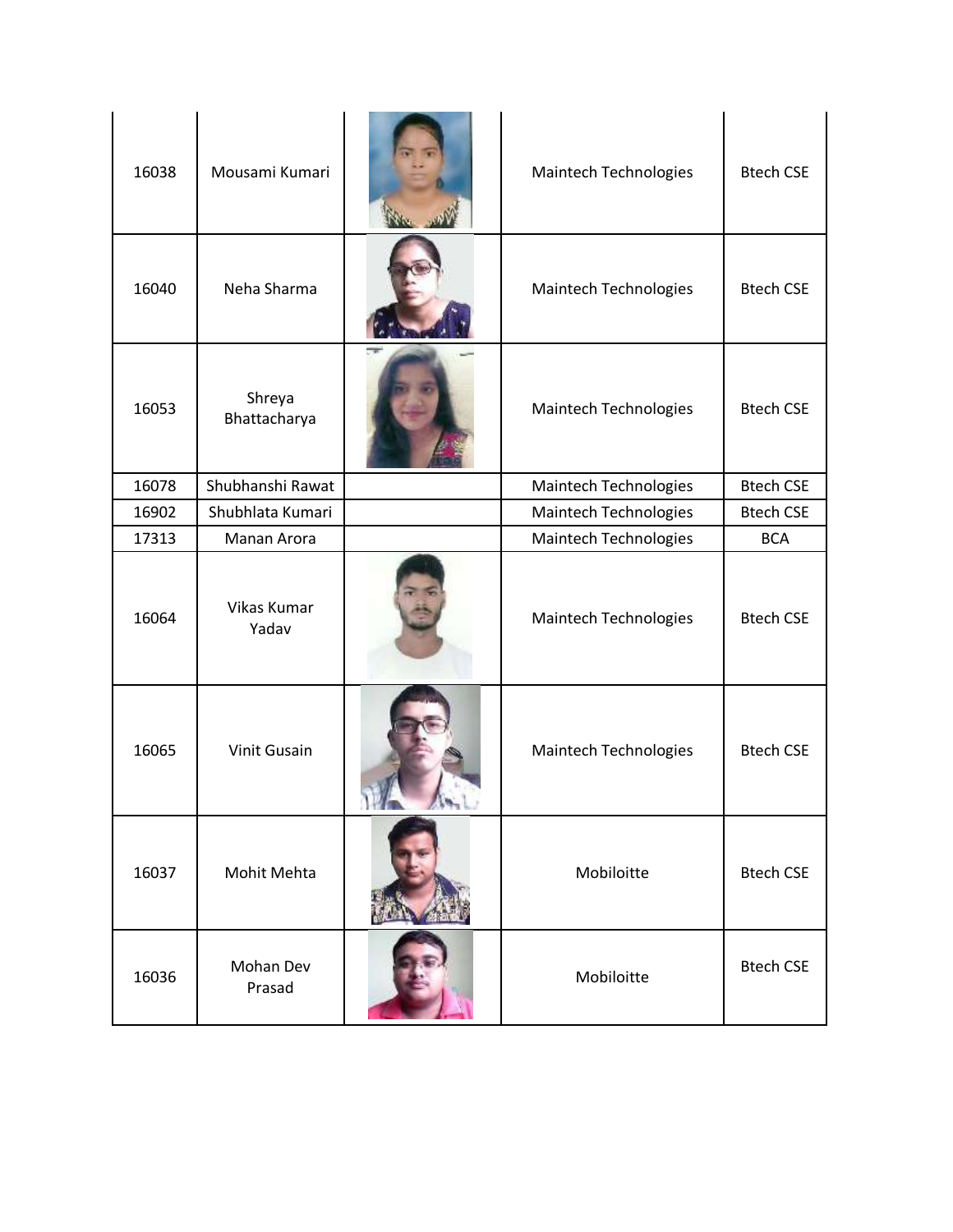| 16038 | Mousami Kumari         | <b>Maintech Technologies</b> | <b>Btech CSE</b> |
|-------|------------------------|------------------------------|------------------|
| 16040 | Neha Sharma            | Maintech Technologies        | <b>Btech CSE</b> |
| 16053 | Shreya<br>Bhattacharya | <b>Maintech Technologies</b> | <b>Btech CSE</b> |
| 16078 | Shubhanshi Rawat       | <b>Maintech Technologies</b> | <b>Btech CSE</b> |
| 16902 | Shubhlata Kumari       | <b>Maintech Technologies</b> | <b>Btech CSE</b> |
| 17313 | Manan Arora            | <b>Maintech Technologies</b> | <b>BCA</b>       |
| 16064 | Vikas Kumar<br>Yadav   | <b>Maintech Technologies</b> | <b>Btech CSE</b> |
| 16065 | <b>Vinit Gusain</b>    | Maintech Technologies        | <b>Btech CSE</b> |
| 16037 | Mohit Mehta            | Mobiloitte                   | <b>Btech CSE</b> |
| 16036 | Mohan Dev<br>Prasad    | Mobiloitte                   | <b>Btech CSE</b> |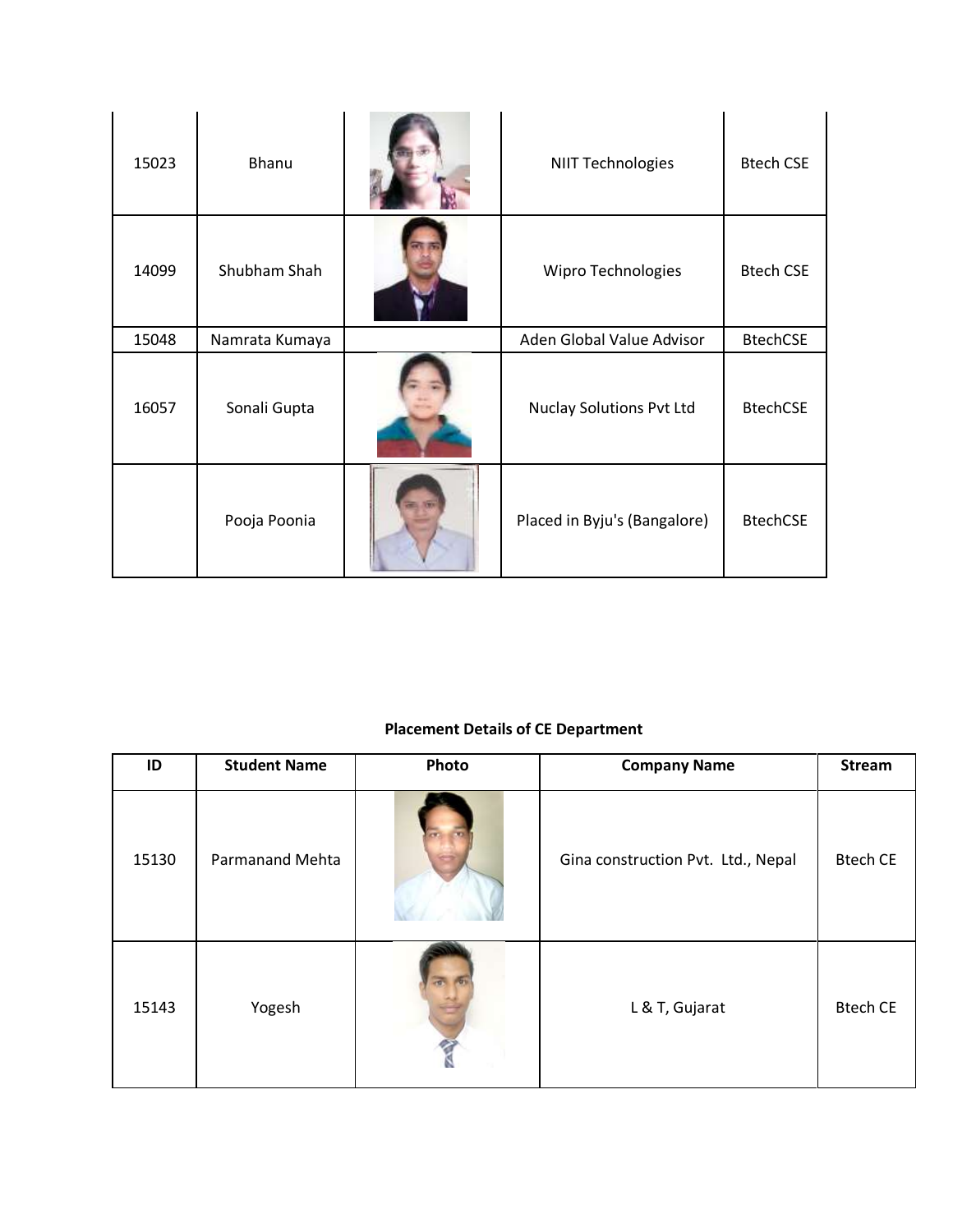| 15023 | Bhanu          | <b>NIIT Technologies</b>        | <b>Btech CSE</b> |
|-------|----------------|---------------------------------|------------------|
| 14099 | Shubham Shah   | Wipro Technologies              | <b>Btech CSE</b> |
| 15048 | Namrata Kumaya | Aden Global Value Advisor       | <b>BtechCSE</b>  |
| 16057 | Sonali Gupta   | <b>Nuclay Solutions Pvt Ltd</b> | <b>BtechCSE</b>  |
|       | Pooja Poonia   | Placed in Byju's (Bangalore)    | <b>BtechCSE</b>  |

## **Placement Details of CE Department**

| ID    | <b>Student Name</b> | Photo | <b>Company Name</b>                | <b>Stream</b>   |
|-------|---------------------|-------|------------------------------------|-----------------|
| 15130 | Parmanand Mehta     |       | Gina construction Pvt. Ltd., Nepal | <b>Btech CE</b> |
| 15143 | Yogesh              |       | L & T, Gujarat                     | <b>Btech CE</b> |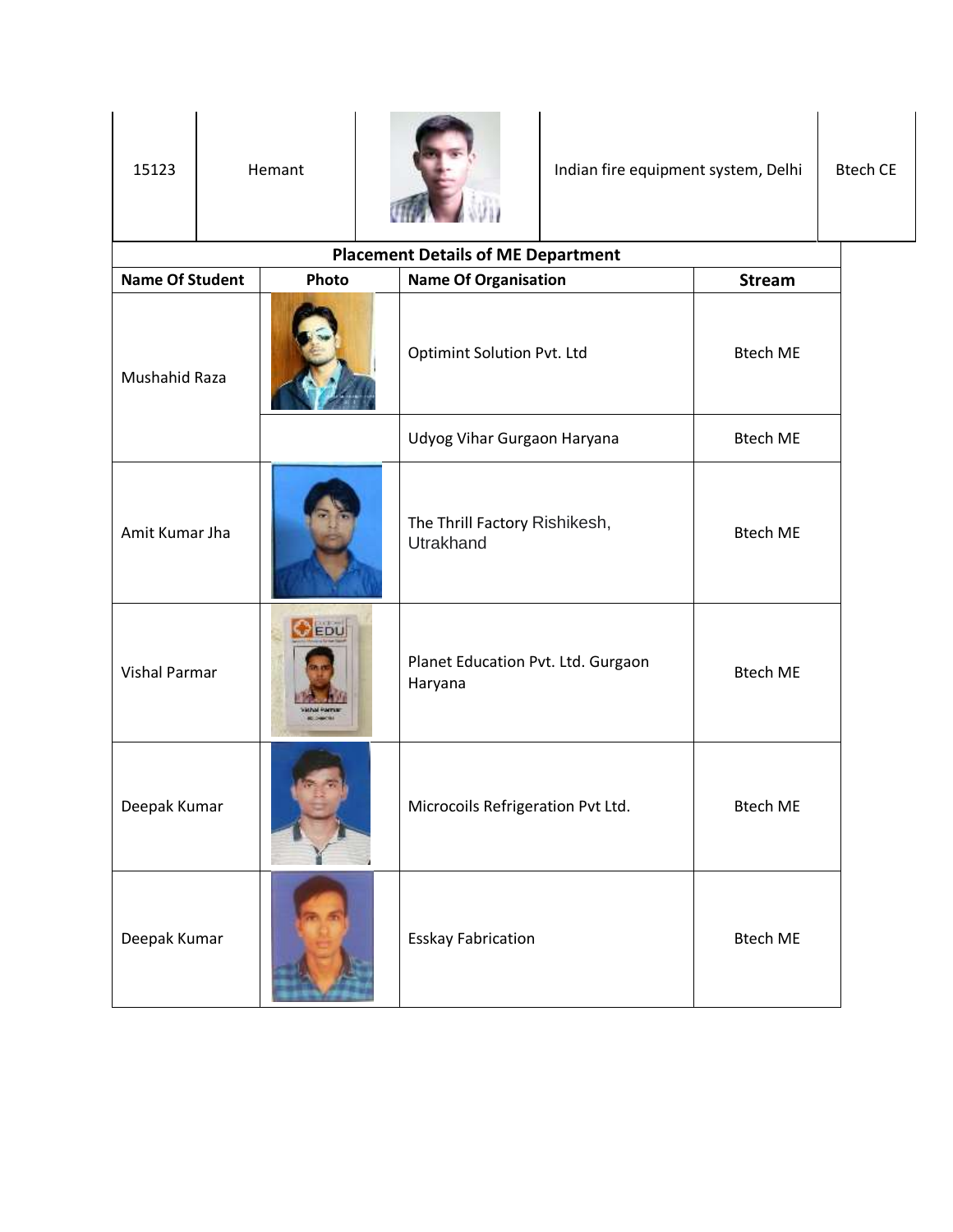| 15123                  |                           | Hemant      | Indian fire equipment system, Delhi           |                 | <b>Btech CE</b> |
|------------------------|---------------------------|-------------|-----------------------------------------------|-----------------|-----------------|
|                        |                           |             | <b>Placement Details of ME Department</b>     |                 |                 |
| <b>Name Of Student</b> |                           | Photo       | <b>Name Of Organisation</b>                   | <b>Stream</b>   |                 |
| Mushahid Raza          |                           |             | <b>Optimint Solution Pvt. Ltd</b>             | <b>Btech ME</b> |                 |
|                        |                           |             | Udyog Vihar Gurgaon Haryana                   | <b>Btech ME</b> |                 |
| Amit Kumar Jha         |                           |             | The Thrill Factory Rishikesh,<br>Utrakhand    | <b>Btech ME</b> |                 |
| <b>Vishal Parmar</b>   |                           | $\odot$ EDU | Planet Education Pvt. Ltd. Gurgaon<br>Haryana | <b>Btech ME</b> |                 |
| Deepak Kumar           |                           |             | Microcoils Refrigeration Pvt Ltd.             | Btech ME        |                 |
| Deepak Kumar           | <b>Esskay Fabrication</b> |             | <b>Btech ME</b>                               |                 |                 |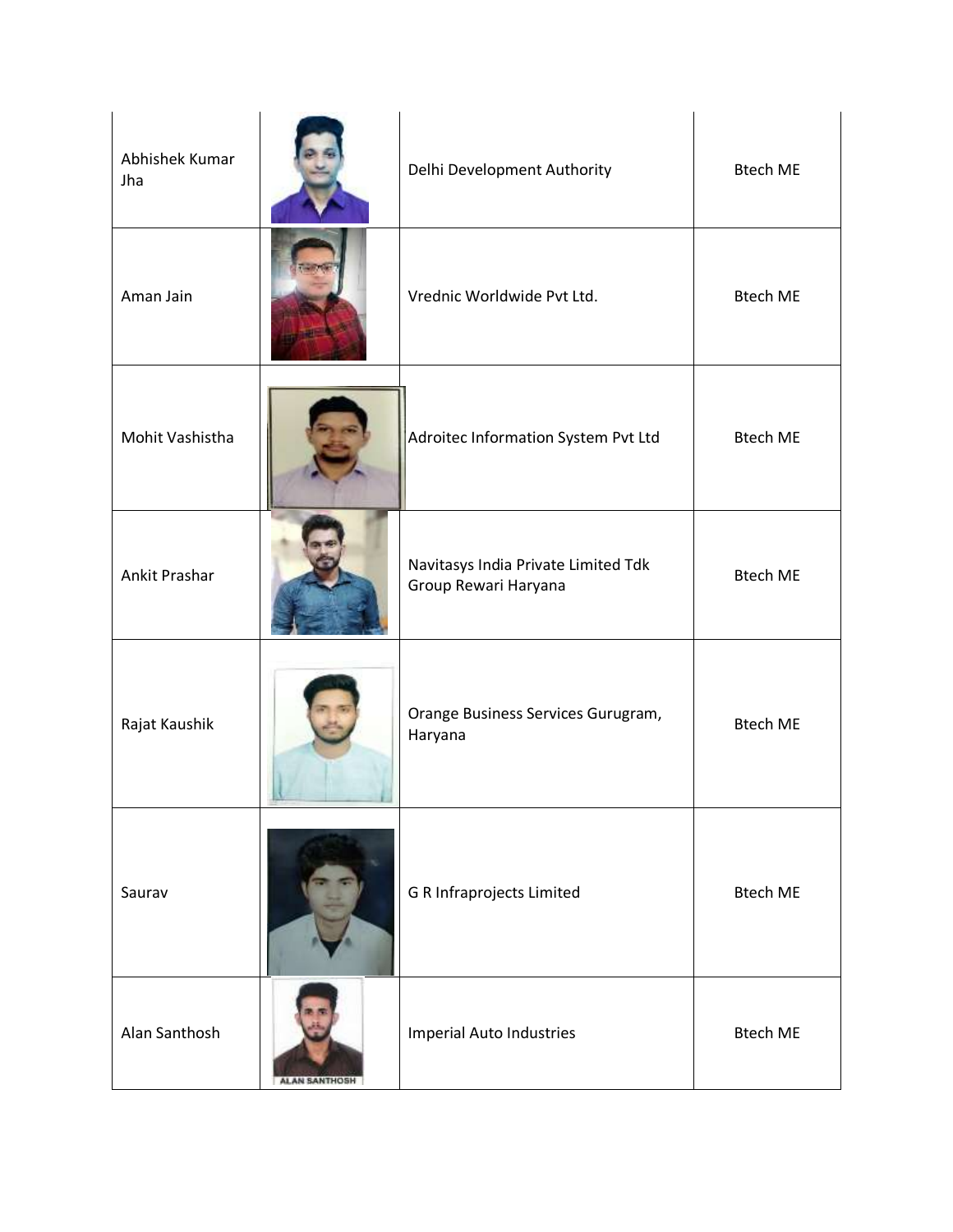| Abhishek Kumar<br>Jha |                      | Delhi Development Authority                                 | <b>Btech ME</b> |
|-----------------------|----------------------|-------------------------------------------------------------|-----------------|
| Aman Jain             |                      | Vrednic Worldwide Pvt Ltd.                                  | <b>Btech ME</b> |
| Mohit Vashistha       |                      | Adroitec Information System Pvt Ltd                         | <b>Btech ME</b> |
| Ankit Prashar         |                      | Navitasys India Private Limited Tdk<br>Group Rewari Haryana | <b>Btech ME</b> |
| Rajat Kaushik         |                      | Orange Business Services Gurugram,<br>Haryana               | <b>Btech ME</b> |
| Saurav                |                      | G R Infraprojects Limited                                   | <b>Btech ME</b> |
| Alan Santhosh         | <b>ALAN SANTHOSH</b> | <b>Imperial Auto Industries</b>                             | <b>Btech ME</b> |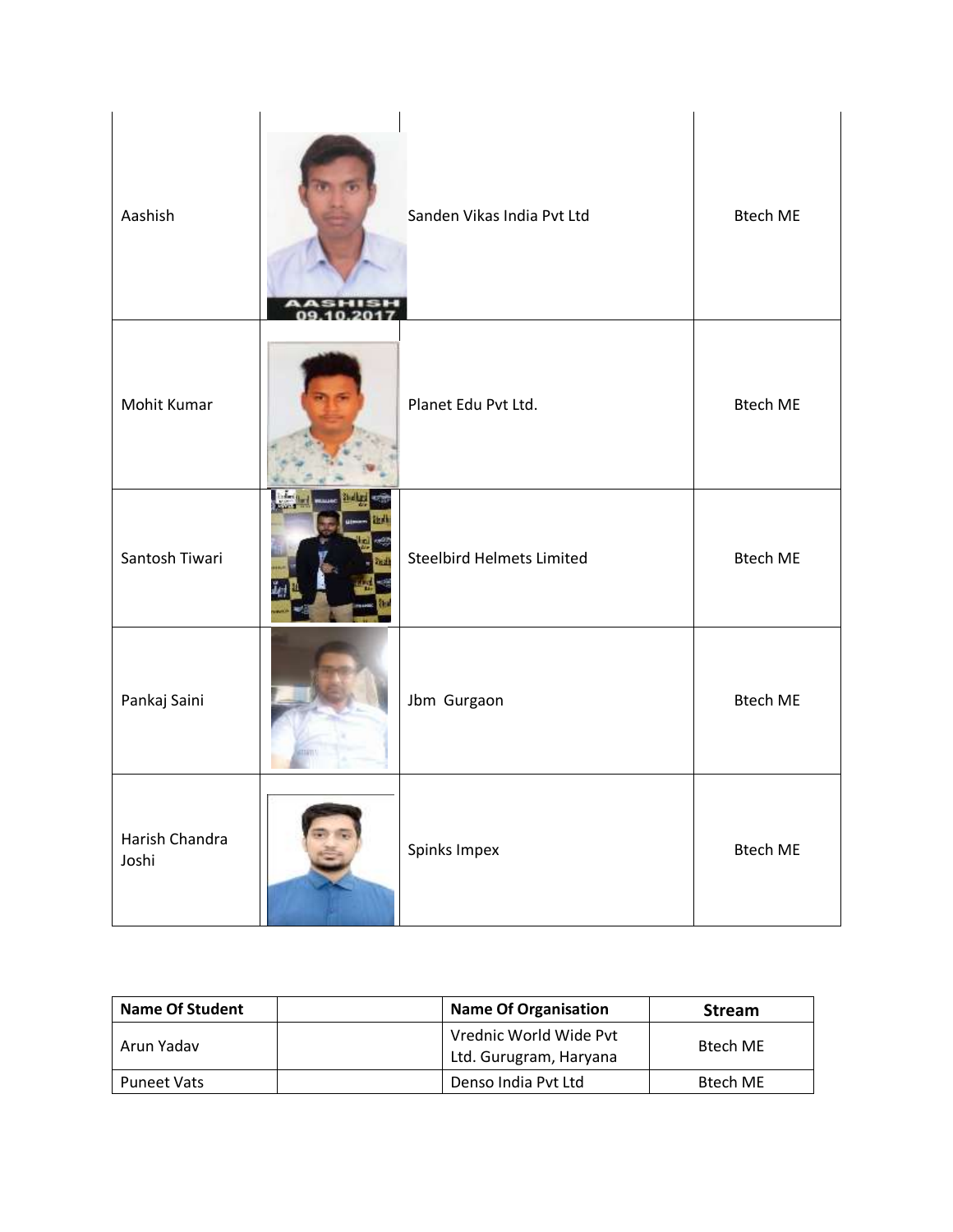| Aashish                 | Sanden Vikas India Pvt Ltd       | <b>Btech ME</b> |
|-------------------------|----------------------------------|-----------------|
| Mohit Kumar             | Planet Edu Pvt Ltd.              | <b>Btech ME</b> |
| Santosh Tiwari          | <b>Steelbird Helmets Limited</b> | <b>Btech ME</b> |
| Pankaj Saini            | Jbm Gurgaon                      | <b>Btech ME</b> |
| Harish Chandra<br>Joshi | Spinks Impex                     | <b>Btech ME</b> |

| <b>Name Of Student</b> | <b>Name Of Organisation</b>                      | <b>Stream</b> |
|------------------------|--------------------------------------------------|---------------|
| Arun Yadav             | Vrednic World Wide Pvt<br>Ltd. Gurugram, Haryana | Btech ME      |
| <b>Puneet Vats</b>     | Denso India Pvt Ltd                              | Btech ME      |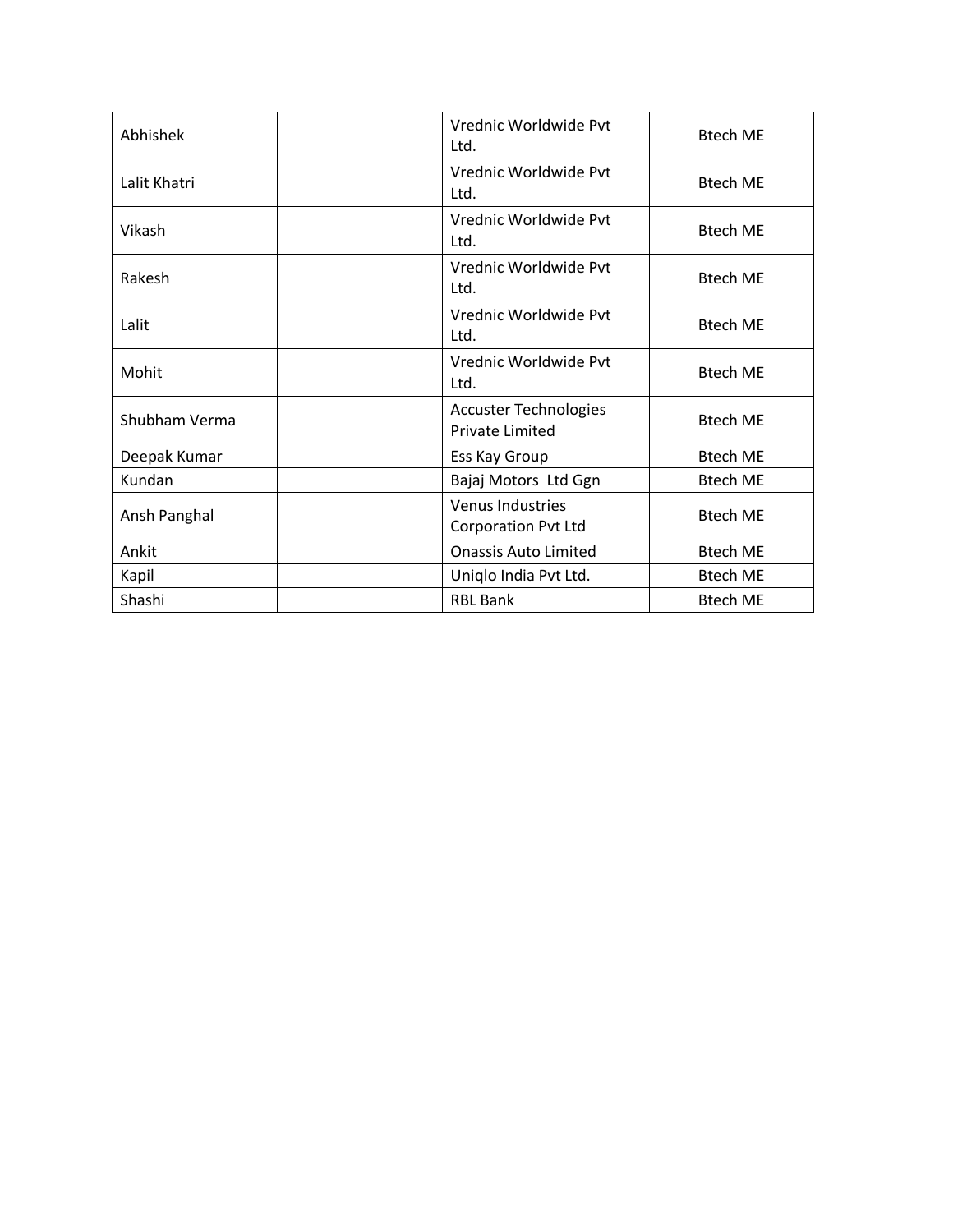| Abhishek      | Vrednic Worldwide Pvt<br>Ltd.                          | <b>Btech ME</b> |
|---------------|--------------------------------------------------------|-----------------|
| Lalit Khatri  | Vrednic Worldwide Pvt<br>Ltd.                          | <b>Btech ME</b> |
| Vikash        | Vrednic Worldwide Pvt<br>Ltd.                          | <b>Btech ME</b> |
| Rakesh        | Vrednic Worldwide Pyt<br>Ltd.                          | <b>Btech ME</b> |
| Lalit         | Vrednic Worldwide Pvt<br>Ltd.                          | <b>Btech ME</b> |
| Mohit         | Vrednic Worldwide Pyt<br>Ltd.                          | <b>Btech ME</b> |
| Shubham Verma | <b>Accuster Technologies</b><br><b>Private Limited</b> | <b>Btech ME</b> |
| Deepak Kumar  | Ess Kay Group                                          | <b>Btech ME</b> |
| Kundan        | Bajaj Motors Ltd Ggn                                   | <b>Btech ME</b> |
| Ansh Panghal  | <b>Venus Industries</b><br><b>Corporation Pvt Ltd</b>  | <b>Btech ME</b> |
| Ankit         | <b>Onassis Auto Limited</b>                            | <b>Btech ME</b> |
| Kapil         | Uniqlo India Pvt Ltd.                                  | <b>Btech ME</b> |
| Shashi        | <b>RBL Bank</b>                                        | <b>Btech ME</b> |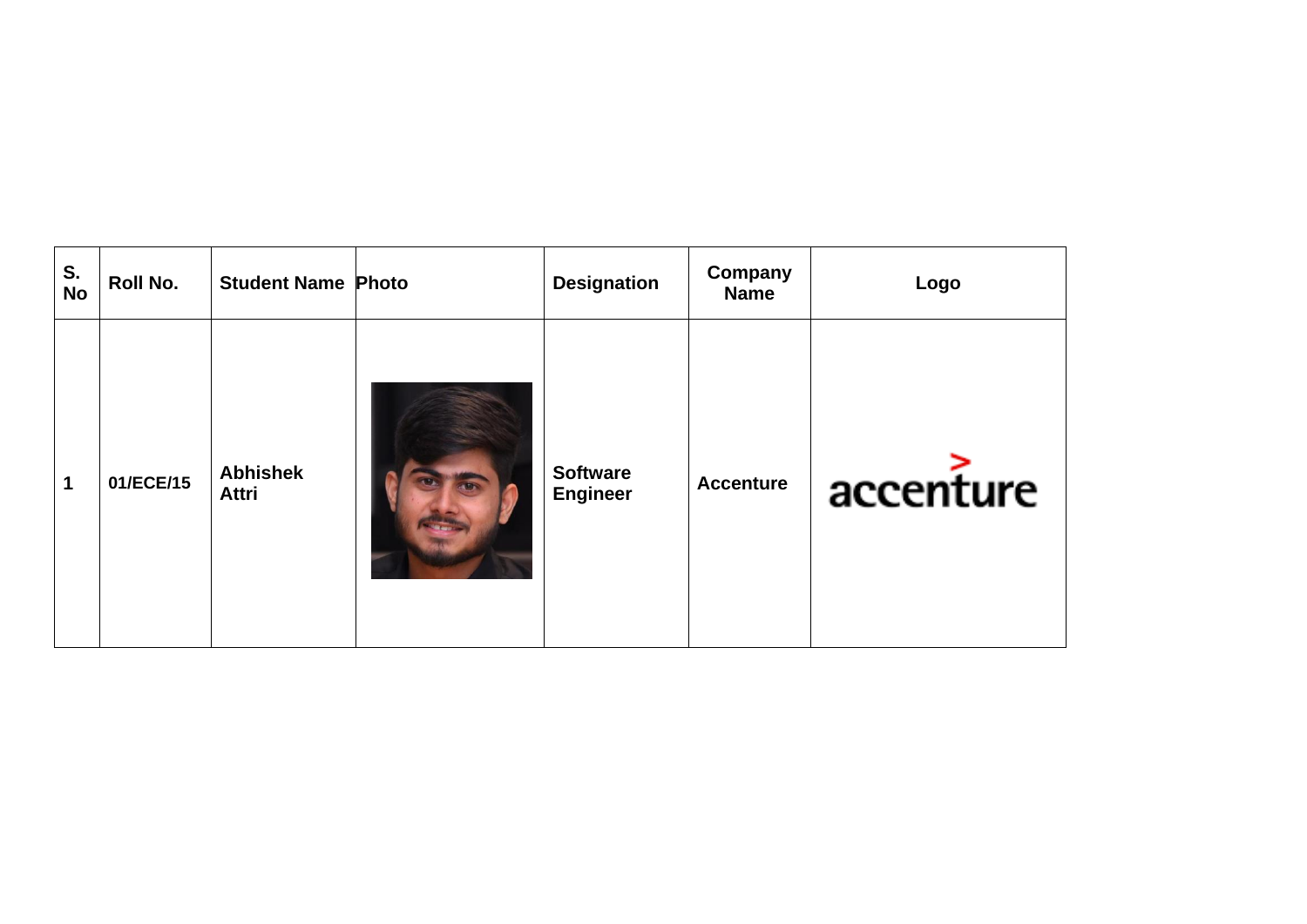| S.<br>No | Roll No.  | <b>Student Name Photo</b>       | <b>Designation</b>                 | Company<br><b>Name</b> | Logo      |
|----------|-----------|---------------------------------|------------------------------------|------------------------|-----------|
| 1        | 01/ECE/15 | <b>Abhishek</b><br><b>Attri</b> | <b>Software</b><br><b>Engineer</b> | <b>Accenture</b>       | accenture |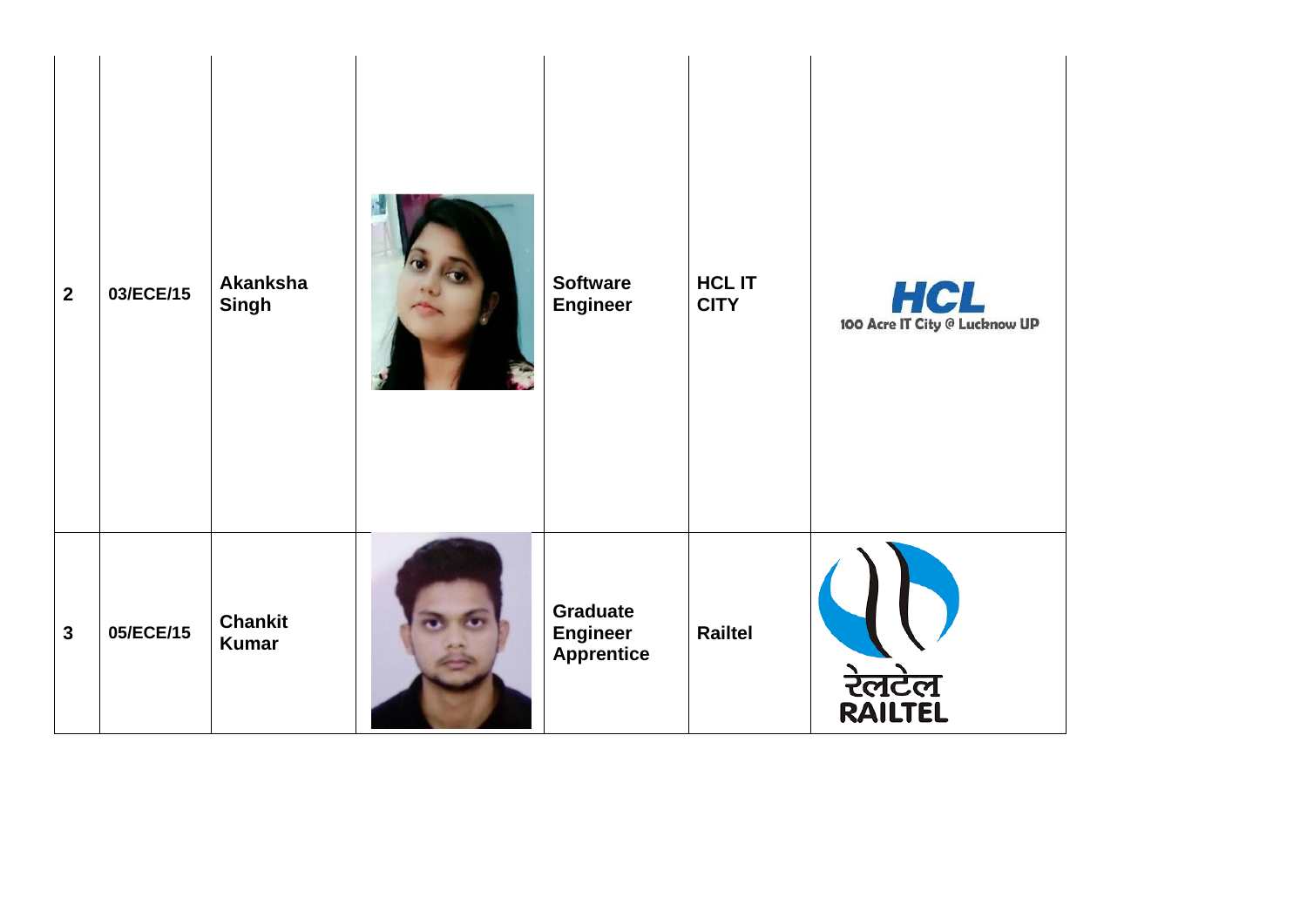| $\overline{2}$ | 03/ECE/15 | Akanksha<br><b>Singh</b>       | <b>Software</b><br><b>Engineer</b>               | <b>HCL IT</b><br><b>CITY</b> | 100 Acre IT City @ Lucknow UP |
|----------------|-----------|--------------------------------|--------------------------------------------------|------------------------------|-------------------------------|
| $\mathbf{3}$   | 05/ECE/15 | <b>Chankit</b><br><b>Kumar</b> | Graduate<br><b>Engineer</b><br><b>Apprentice</b> | Railtel                      | रेलटेल<br>RAILTEL             |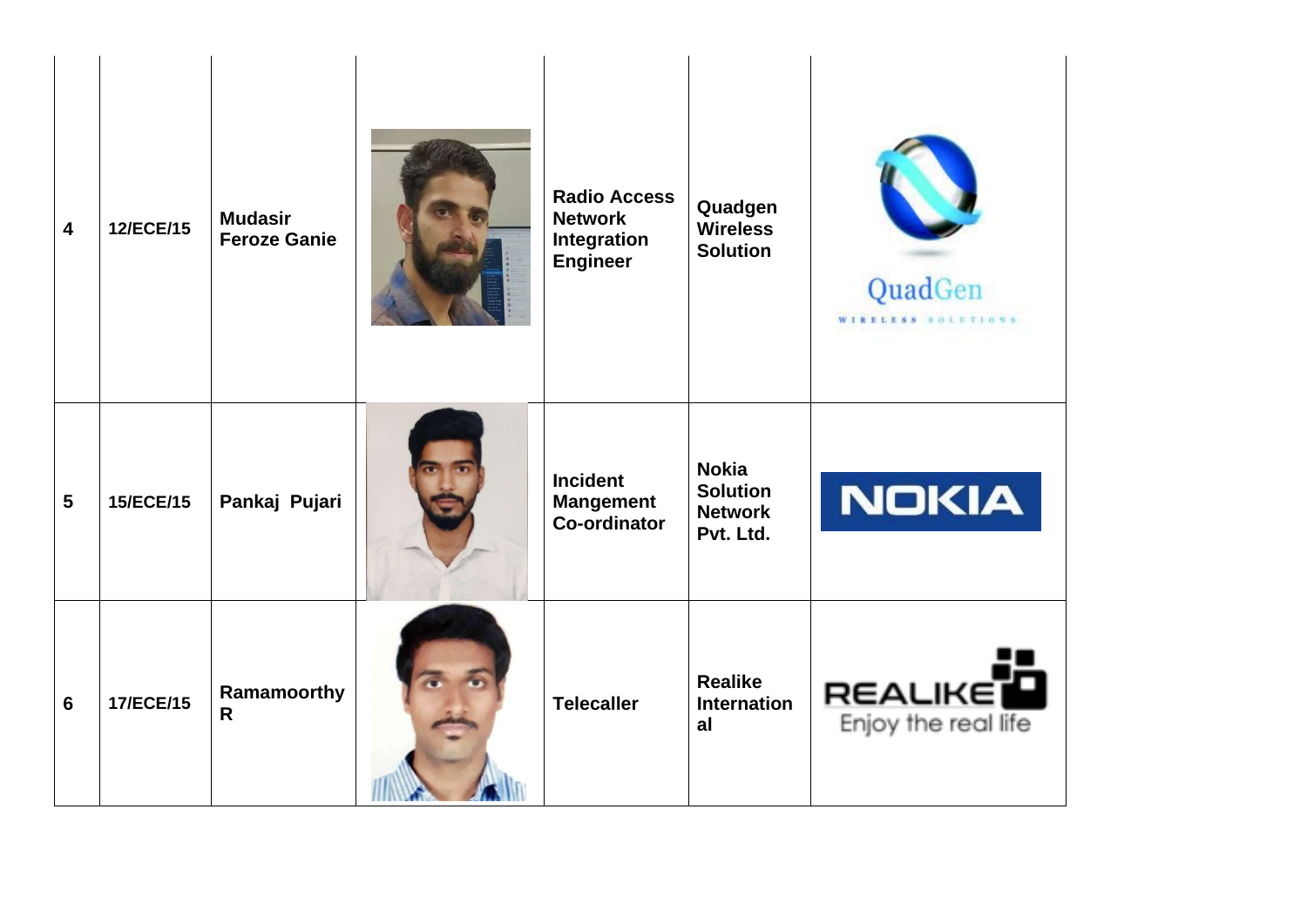| $\overline{\mathbf{4}}$ | 12/ECE/15 | <b>Mudasir</b><br><b>Feroze Ganie</b> | <b>Radio Access</b><br><b>Network</b><br>Integration<br><b>Engineer</b> | Quadgen<br><b>Wireless</b><br><b>Solution</b>                  | QuadGen<br>WIRELESS SOLUTIONS         |
|-------------------------|-----------|---------------------------------------|-------------------------------------------------------------------------|----------------------------------------------------------------|---------------------------------------|
| $5\phantom{1}$          | 15/ECE/15 | Pankaj Pujari                         | <b>Incident</b><br><b>Mangement</b><br><b>Co-ordinator</b>              | <b>Nokia</b><br><b>Solution</b><br><b>Network</b><br>Pvt. Ltd. | NOKIA                                 |
| $6\phantom{1}6$         | 17/ECE/15 | Ramamoorthy<br>R                      | <b>Telecaller</b>                                                       | <b>Realike</b><br><b>Internation</b><br>al                     | <b>REALIKE</b><br>Enjoy the real life |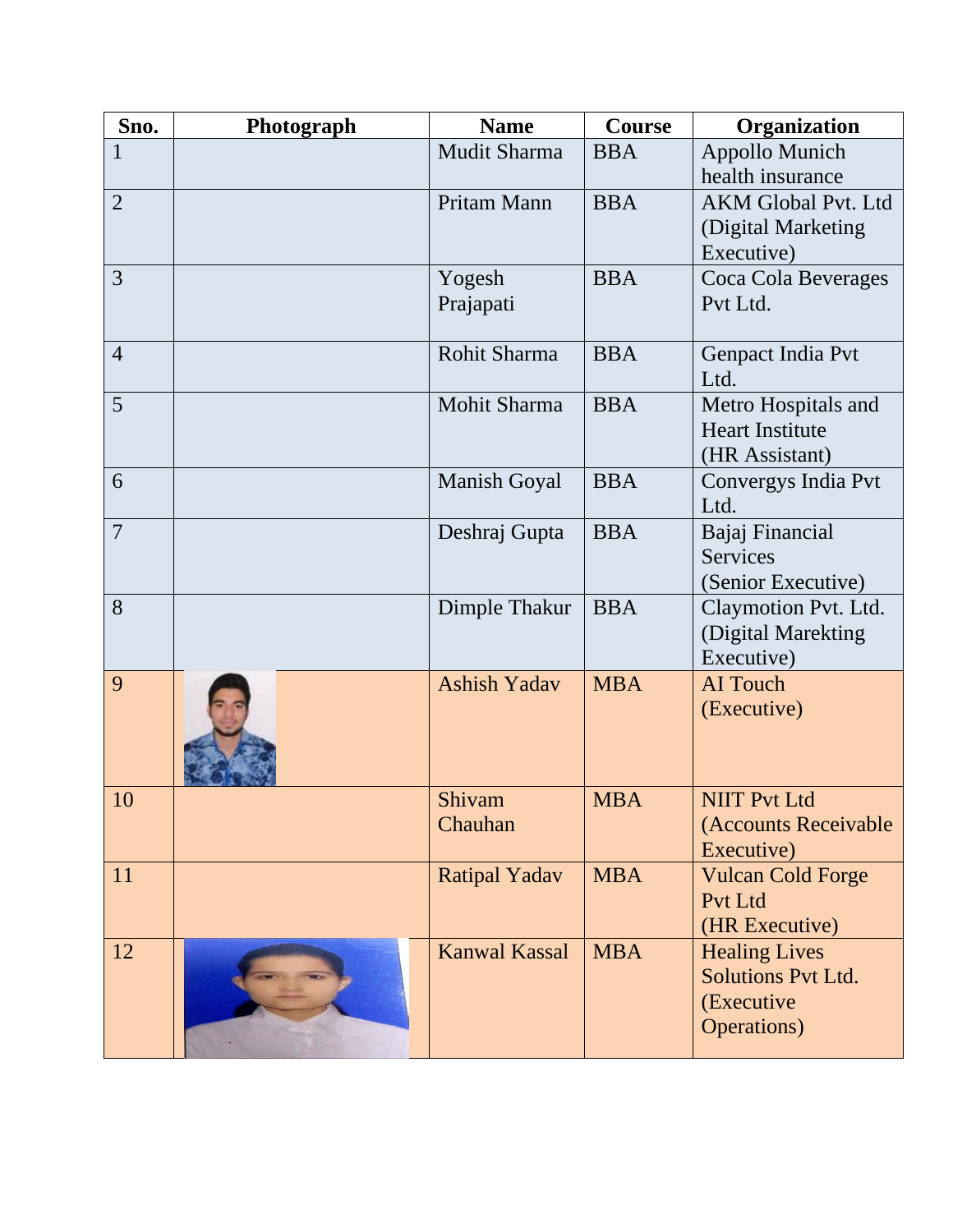| Sno.           | Photograph | <b>Name</b>          | <b>Course</b> | Organization               |
|----------------|------------|----------------------|---------------|----------------------------|
| $\mathbf{1}$   |            | Mudit Sharma         | <b>BBA</b>    | <b>Appollo Munich</b>      |
|                |            |                      |               | health insurance           |
| $\overline{2}$ |            | Pritam Mann          | <b>BBA</b>    | <b>AKM Global Pvt. Ltd</b> |
|                |            |                      |               | (Digital Marketing         |
|                |            |                      |               | Executive)                 |
| 3              |            | Yogesh               | <b>BBA</b>    | Coca Cola Beverages        |
|                |            | Prajapati            |               | Pvt Ltd.                   |
|                |            |                      |               |                            |
| $\overline{4}$ |            | Rohit Sharma         | <b>BBA</b>    | Genpact India Pvt          |
|                |            |                      |               | Ltd.                       |
| 5              |            | Mohit Sharma         | <b>BBA</b>    | Metro Hospitals and        |
|                |            |                      |               | <b>Heart Institute</b>     |
|                |            |                      |               | (HR Assistant)             |
| 6              |            | <b>Manish Goyal</b>  | <b>BBA</b>    | Convergys India Pvt        |
|                |            |                      |               | Ltd.                       |
| $\overline{7}$ |            | Deshraj Gupta        | <b>BBA</b>    | Bajaj Financial            |
|                |            |                      |               | <b>Services</b>            |
|                |            |                      |               | (Senior Executive)         |
| 8              |            | Dimple Thakur        | <b>BBA</b>    | Claymotion Pvt. Ltd.       |
|                |            |                      |               | (Digital Marekting         |
|                |            |                      |               | Executive)                 |
| 9              |            | <b>Ashish Yadav</b>  | <b>MBA</b>    | <b>AI</b> Touch            |
|                |            |                      |               | (Executive)                |
|                |            |                      |               |                            |
| 10             |            | Shivam               | <b>MBA</b>    | <b>NIIT Pvt Ltd</b>        |
|                |            | Chauhan              |               | (Accounts Receivable       |
|                |            |                      |               | Executive)                 |
| 11             |            | <b>Ratipal Yadav</b> | <b>MBA</b>    | <b>Vulcan Cold Forge</b>   |
|                |            |                      |               | Pvt Ltd                    |
|                |            |                      |               | (HR Executive)             |
| 12             |            | <b>Kanwal Kassal</b> | <b>MBA</b>    | <b>Healing Lives</b>       |
|                |            |                      |               | <b>Solutions Pvt Ltd.</b>  |
|                |            |                      |               | (Executive                 |
|                |            |                      |               | <b>Operations</b> )        |
|                |            |                      |               |                            |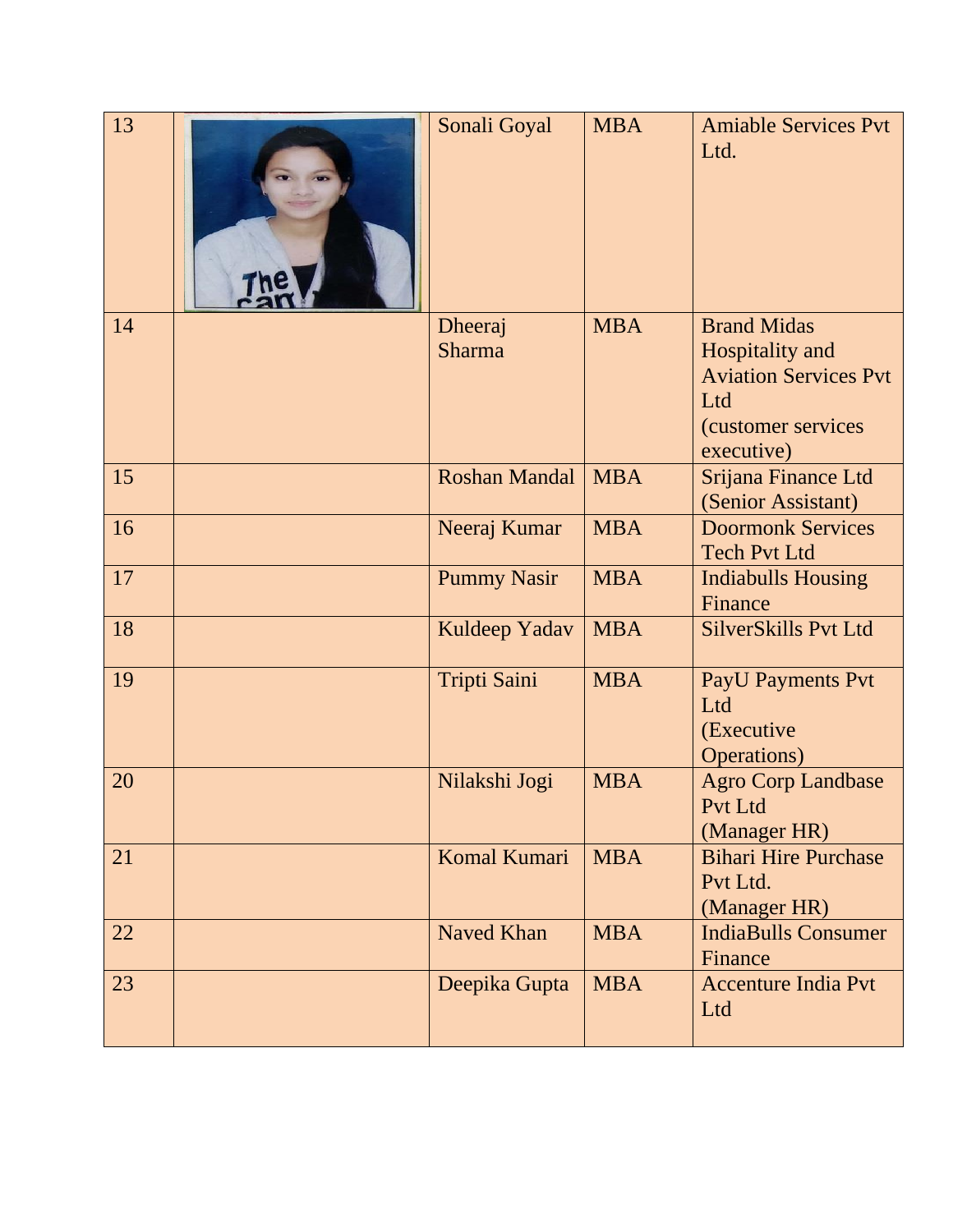| 13 | Sonali Goyal             | <b>MBA</b> | <b>Amiable Services Pvt</b><br>Ltd.                                                                              |
|----|--------------------------|------------|------------------------------------------------------------------------------------------------------------------|
| 14 | Dheeraj<br><b>Sharma</b> | <b>MBA</b> | <b>Brand Midas</b><br>Hospitality and<br><b>Aviation Services Pvt</b><br>Ltd<br>(customer services<br>executive) |
| 15 | <b>Roshan Mandal</b>     | <b>MBA</b> | Srijana Finance Ltd<br>(Senior Assistant)                                                                        |
| 16 | Neeraj Kumar             | <b>MBA</b> | <b>Doormonk Services</b><br><b>Tech Pvt Ltd</b>                                                                  |
| 17 | <b>Pummy Nasir</b>       | <b>MBA</b> | <b>Indiabulls Housing</b><br>Finance                                                                             |
| 18 | Kuldeep Yadav            | <b>MBA</b> | <b>SilverSkills Pvt Ltd</b>                                                                                      |
| 19 | Tripti Saini             | <b>MBA</b> | <b>PayU Payments Pvt</b><br>Ltd<br>(Executive<br><b>Operations</b> )                                             |
| 20 | Nilakshi Jogi            | <b>MBA</b> | <b>Agro Corp Landbase</b><br>Pvt Ltd<br>(Manager HR)                                                             |
| 21 | Komal Kumari             | <b>MBA</b> | <b>Bihari Hire Purchase</b><br>Pvt Ltd.<br>(Manager HR)                                                          |
| 22 | <b>Naved Khan</b>        | <b>MBA</b> | <b>IndiaBulls Consumer</b><br>Finance                                                                            |
| 23 | Deepika Gupta            | <b>MBA</b> | <b>Accenture India Pvt</b><br>Ltd                                                                                |